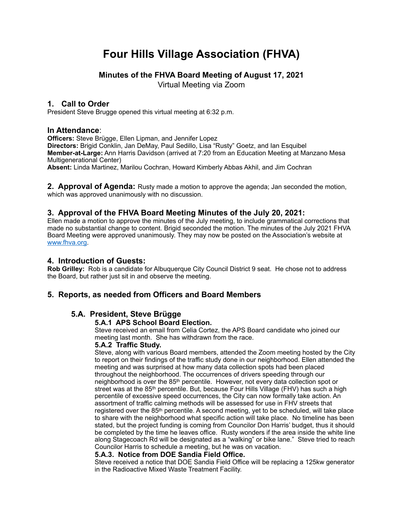# **Four Hills Village Association (FHVA)**

# **Minutes of the FHVA Board Meeting of August 17, 2021**

Virtual Meeting via Zoom

## **1. Call to Order**

President Steve Brugge opened this virtual meeting at 6:32 p.m.

## **In Attendance**:

**Officers:** Steve Brügge, Ellen Lipman, and Jennifer Lopez **Directors:** Brigid Conklin, Jan DeMay, Paul Sedillo, Lisa "Rusty" Goetz, and Ian Esquibel **Member-at-Large:** Ann Harris Davidson (arrived at 7:20 from an Education Meeting at Manzano Mesa Multigenerational Center)

**Absent:** Linda Martinez, Marilou Cochran, Howard Kimberly Abbas Akhil, and Jim Cochran

**2. Approval of Agenda:** Rusty made a motion to approve the agenda; Jan seconded the motion, which was approved unanimously with no discussion.

## **3. Approval of the FHVA Board Meeting Minutes of the July 20, 2021:**

Ellen made a motion to approve the minutes of the July meeting, to include grammatical corrections that made no substantial change to content. Brigid seconded the motion. The minutes of the July 2021 FHVA Board Meeting were approved unanimously. They may now be posted on the Association's website at [www.fhva.org](http://www.fhva.org).

## **4. Introduction of Guests:**

**Rob Grilley:** Rob is a candidate for Albuquerque City Council District 9 seat. He chose not to address the Board, but rather just sit in and observe the meeting.

## **5. Reports, as needed from Officers and Board Members**

## **5.A. President, Steve Brügge**

#### **5.A.1 APS School Board Election.**

Steve received an email from Celia Cortez, the APS Board candidate who joined our meeting last month. She has withdrawn from the race.

#### **5.A.2 Traffic Study.**

Steve, along with various Board members, attended the Zoom meeting hosted by the City to report on their findings of the traffic study done in our neighborhood. Ellen attended the meeting and was surprised at how many data collection spots had been placed throughout the neighborhood. The occurrences of drivers speeding through our neighborhood is over the 85th percentile. However, not every data collection spot or street was at the 85<sup>th</sup> percentile. But, because Four Hills Village (FHV) has such a high percentile of excessive speed occurrences, the City can now formally take action. An assortment of traffic calming methods will be assessed for use in FHV streets that registered over the 85th percentile. A second meeting, yet to be scheduled, will take place to share with the neighborhood what specific action will take place. No timeline has been stated, but the project funding is coming from Councilor Don Harris' budget, thus it should be completed by the time he leaves office. Rusty wonders if the area inside the white line along Stagecoach Rd will be designated as a "walking" or bike lane." Steve tried to reach Councilor Harris to schedule a meeting, but he was on vacation.

#### **5.A.3. Notice from DOE Sandia Field Office.**

Steve received a notice that DOE Sandia Field Office will be replacing a 125kw generator in the Radioactive Mixed Waste Treatment Facility.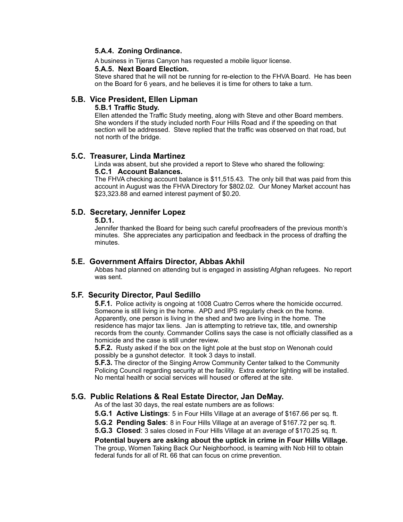#### **5.A.4. Zoning Ordinance.**

A business in Tijeras Canyon has requested a mobile liquor license.

#### **5.A.5. Next Board Election.**

Steve shared that he will not be running for re-election to the FHVA Board. He has been on the Board for 6 years, and he believes it is time for others to take a turn.

## **5.B. Vice President, Ellen Lipman**

#### **5.B.1 Traffic Study.**

Ellen attended the Traffic Study meeting, along with Steve and other Board members. She wonders if the study included north Four Hills Road and if the speeding on that section will be addressed. Steve replied that the traffic was observed on that road, but not north of the bridge.

## **5.C. Treasurer, Linda Martinez**

Linda was absent, but she provided a report to Steve who shared the following:

#### **5.C.1 Account Balances.**

The FHVA checking account balance is \$11,515.43. The only bill that was paid from this account in August was the FHVA Directory for \$802.02. Our Money Market account has \$23,323.88 and earned interest payment of \$0.20.

## **5.D. Secretary, Jennifer Lopez**

#### **5.D.1.**

Jennifer thanked the Board for being such careful proofreaders of the previous month's minutes. She appreciates any participation and feedback in the process of drafting the minutes.

## **5.E. Government Affairs Director, Abbas Akhil**

Abbas had planned on attending but is engaged in assisting Afghan refugees. No report was sent.

## **5.F. Security Director, Paul Sedillo**

**5.F.1.** Police activity is ongoing at 1008 Cuatro Cerros where the homicide occurred. Someone is still living in the home. APD and IPS regularly check on the home. Apparently, one person is living in the shed and two are living in the home. The residence has major tax liens. Jan is attempting to retrieve tax, title, and ownership records from the county. Commander Collins says the case is not officially classified as a homicide and the case is still under review.

**5.F.2.** Rusty asked if the box on the light pole at the bust stop on Wenonah could possibly be a gunshot detector. It took 3 days to install.

**5.F.3.** The director of the Singing Arrow Community Center talked to the Community Policing Council regarding security at the facility. Extra exterior lighting will be installed. No mental health or social services will housed or offered at the site.

# **5.G. Public Relations & Real Estate Director, Jan DeMay.** As of the last 30 days, the real estate numbers are as follows:

**5.G.1 Active Listings**: 5 in Four Hills Village at an average of \$167.66 per sq. ft.

- **5.G.2 Pending Sales**: 8 in Four Hills Village at an average of \$167.72 per sq. ft.
- **5.G.3 Closed**: 3 sales closed in Four Hills Village at an average of \$170.25 sq. ft.

**Potential buyers are asking about the uptick in crime in Four Hills Village.** The group, Women Taking Back Our Neighborhood, is teaming with Nob Hill to obtain federal funds for all of Rt. 66 that can focus on crime prevention.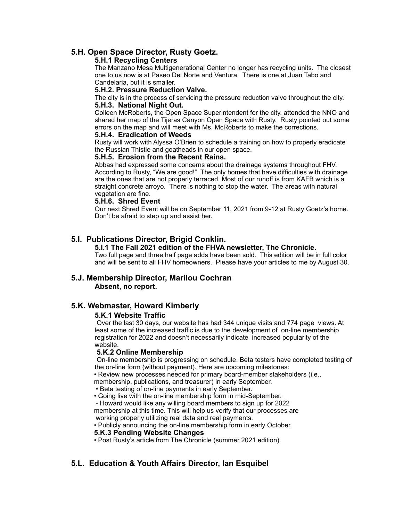## **5.H. Open Space Director, Rusty Goetz.**

#### **5.H.1 Recycling Centers**

The Manzano Mesa Multigenerational Center no longer has recycling units. The closest one to us now is at Paseo Del Norte and Ventura. There is one at Juan Tabo and Candelaria, but it is smaller.

#### **5.H.2. Pressure Reduction Valve.**

The city is in the process of servicing the pressure reduction valve throughout the city. **5.H.3. National Night Out.** 

Colleen McRoberts, the Open Space Superintendent for the city, attended the NNO and shared her map of the Tijeras Canyon Open Space with Rusty. Rusty pointed out some errors on the map and will meet with Ms. McRoberts to make the corrections.

#### **5.H.4. Eradication of Weeds**

Rusty will work with Alyssa O'Brien to schedule a training on how to properly eradicate the Russian Thistle and goatheads in our open space.

#### **5.H.5. Erosion from the Recent Rains.**

Abbas had expressed some concerns about the drainage systems throughout FHV. According to Rusty, "We are good!" The only homes that have difficulties with drainage are the ones that are not properly terraced. Most of our runoff is from KAFB which is a straight concrete arroyo. There is nothing to stop the water. The areas with natural vegetation are fine.

#### **5.H.6. Shred Event**

Our next Shred Event will be on September 11, 2021 from 9-12 at Rusty Goetz's home. Don't be afraid to step up and assist her.

# **5.I. Publications Director, Brigid Conklin.**

#### **5.I.1 The Fall 2021 edition of the FHVA newsletter, The Chronicle.**

Two full page and three half page adds have been sold. This edition will be in full color and will be sent to all FHV homeowners. Please have your articles to me by August 30.

## **5.J. Membership Director, Marilou Cochran Absent, no report.**

#### **5.K. Webmaster, Howard Kimberly**

#### **5.K.1 Website Traffic**

Over the last 30 days, our website has had 344 unique visits and 774 page views. At least some of the increased traffic is due to the development of on-line membership registration for 2022 and doesn't necessarily indicate increased popularity of the website.

#### **5.K.2 Online Membership**

On-line membership is progressing on schedule. Beta testers have completed testing of the on-line form (without payment). Here are upcoming milestones:

• Review new processes needed for primary board-member stakeholders (i.e.,

membership, publications, and treasurer) in early September.

• Beta testing of on-line payments in early September.

• Going live with the on-line membership form in mid-September.

 - Howard would like any willing board members to sign up for 2022 membership at this time. This will help us verify that our processes are working properly utilizing real data and real payments.

• Publicly announcing the on-line membership form in early October.

#### **5.K.3 Pending Website Changes**

• Post Rusty's article from The Chronicle (summer 2021 edition).

## **5.L. Education & Youth Affairs Director, Ian Esquibel**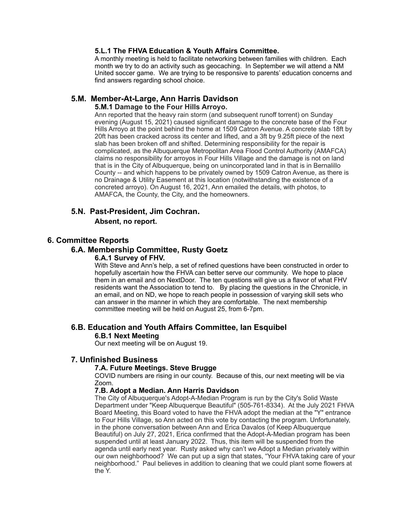#### **5.L.1 The FHVA Education & Youth Affairs Committee.**

A monthly meeting is held to facilitate networking between families with children. Each month we try to do an activity such as geocaching. In September we will attend a NM United soccer game. We are trying to be responsive to parents' education concerns and find answers regarding school choice.

## **5.M. Member-At-Large, Ann Harris Davidson**

### **5.M.1 Damage to the Four Hills Arroyo.**

Ann reported that the heavy rain storm (and subsequent runoff torrent) on Sunday evening (August 15, 2021) caused significant damage to the concrete base of the Four Hills Arroyo at the point behind the home at 1509 Catron Avenue. A concrete slab 18ft by 20ft has been cracked across its center and lifted, and a 3ft by 9.25ft piece of the next slab has been broken off and shifted. Determining responsibility for the repair is complicated, as the Albuquerque Metropolitan Area Flood Control Authority (AMAFCA) claims no responsibility for arroyos in Four Hills Village and the damage is not on land that is in the City of Albuquerque, being on unincorporated land in that is in Bernalillo County -- and which happens to be privately owned by 1509 Catron Avenue, as there is no Drainage & Utility Easement at this location (notwithstanding the existence of a concreted arroyo). On August 16, 2021, Ann emailed the details, with photos, to AMAFCA, the County, the City, and the homeowners.

## **5.N. Past-President, Jim Cochran.**

#### **Absent, no report.**

## **6. Committee Reports**

## **6.A. Membership Committee, Rusty Goetz**

#### **6.A.1 Survey of FHV.**

With Steve and Ann's help, a set of refined questions have been constructed in order to hopefully ascertain how the FHVA can better serve our community. We hope to place them in an email and on NextDoor. The ten questions will give us a flavor of what FHV residents want the Association to tend to. By placing the questions in the Chronicle, in an email, and on ND, we hope to reach people in possession of varying skill sets who can answer in the manner in which they are comfortable. The next membership committee meeting will be held on August 25, from 6-7pm.

## **6.B. Education and Youth Affairs Committee, Ian Esquibel**

#### **6.B.1 Next Meeting**

Our next meeting will be on August 19.

#### **7. Unfinished Business**

#### **7.A. Future Meetings. Steve Brugge**

COVID numbers are rising in our county. Because of this, our next meeting will be via Zoom.

#### **7.B. Adopt a Median. Ann Harris Davidson**

The City of Albuquerque's Adopt-A-Median Program is run by the City's Solid Waste Department under "Keep Albuquerque Beautiful" (505-761-8334). At the July 2021 FHVA Board Meeting, this Board voted to have the FHVA adopt the median at the "Y" entrance to Four Hills Village, so Ann acted on this vote by contacting the program. Unfortunately, in the phone conversation between Ann and Erica Davalos (of Keep Albuquerque Beautiful) on July 27, 2021, Erica confirmed that the Adopt-A-Median program has been suspended until at least January 2022. Thus, this item will be suspended from the agenda until early next year. Rusty asked why can't we Adopt a Median privately within our own neighborhood? We can put up a sign that states, "Your FHVA taking care of your neighborhood." Paul believes in addition to cleaning that we could plant some flowers at the Y.